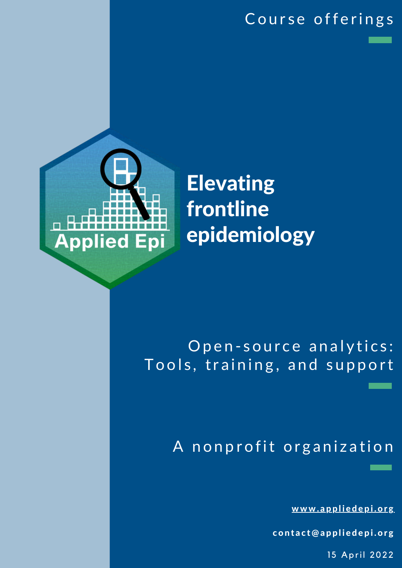### Course offerings



# Elevating frontline epidemiology

## Open-source analytics: Tools, training, and support

## A nonprofit organization

[w](http://www.appliedepi.org/)ww.appliedepi.org

contact@appliedepi.org

15 April 2022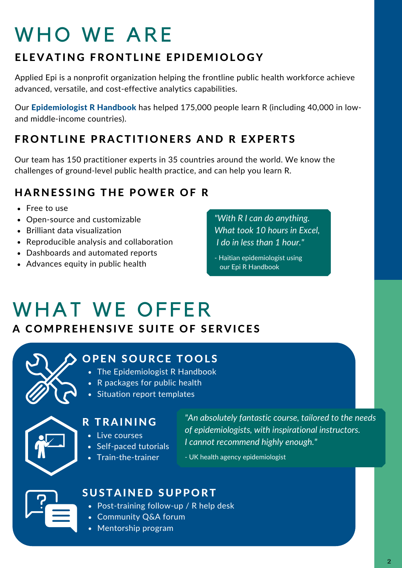# WHO WE ARE

### ELEVATING FRONTLINE EPIDEMIOLOGY

[Applied](http://www.appliedepi.org/) Epi is a nonprofit organization helping the frontline public health workforce achieve advanced, versatile, and cost-effective analytics capabilities.

Our [Epidemiologist](http://www.epirhandbook.com/) R Handbook has helped 175,000 people learn R (including 40,000 in lowand middle-income countries).

### FRONTLINE PRACTITIONERS AND R [EXPERTS](http://www.appliedepi.org/)

Our team has 150 practitioner experts in 35 countries around the world. We know the challenges of [ground-level](http://www.appliedepi.org/) public health practice, and can help you learn R.

### HARNESSING THE POWER OF R

- Free to use
- Open-source and customizable
- Brilliant data visualization
- Reproducible analysis and collaboration
- Dashboards and automated reports
- Advances equity in public health

*"With R Ican do anything. What took 10 hours in Excel, I do in less than 1 hour."*

- Haitian epidemiologist using our Epi R Handbook

# WHAT WE OFFER

#### A C[OMPREHENS](http://www.appliedepi.org/)IVE SUITE OF SERVICES



### **OPEN SOURCE TOOLS**

- The Epidemiologist R Handbook
- R packages for public health
- Situation report templates



#### R TRAINING

- Live courses
- Self-paced tutorials
- Train-the-trainer

*"An absolutely fantastic course, tailored to the needs of epidemiologists, with inspirational instructors. I cannot recommend highly enough."*

- UK health agency epidemiologist

## SUSTAINED SUPPORT

- Post-training follow-up / R help desk
- Community Q&A forum
- Mentorship program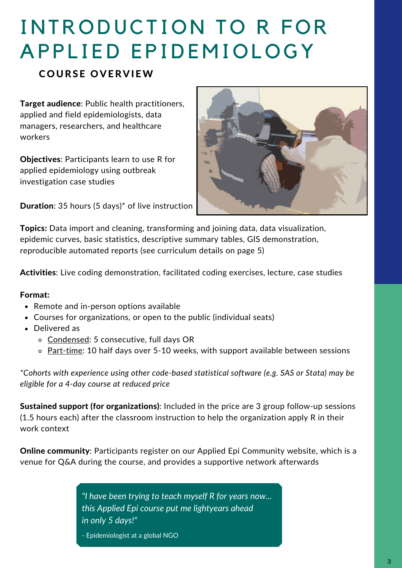# INTRODUCTION TO R FOR A P P L I ED E P I D E M I O L O G Y

#### **COURSE OVERVIEW**

Target audience: Public health practitioners, applied and field epidemiologists, data managers, researchers, and healthcare workers

Objectives: Participants learn to use R for applied epidemiology using outbreak investigation case studies

Duration: 35 hours (5 days)\* of live instruction



Topics: Data import and cleaning, transforming and joining data, data visualization, epidemic curves, basic statistics, descriptive summary tables, GIS demonstration, reproducible automated reports (see curriculum details on page 5)

Activities: Live coding demonstration, facilitated coding exercises, lecture, case studies

#### Format:

- Remote and in-person options available
- Courses for organizations, or open to the public (individual seats)
- Delivered as
	- o Condensed: 5 consecutive, full days OR
	- o Part-time: 10 half days over 5-10 weeks, with support available between sessions

*\*Cohorts with experience using other code-based statistical software (e.g. SAS or Stata) may be eligible for a 4-day course at reduced price*

Sustained support (for organizations): Included in the price are 3 group follow-up sessions (1.5 hours each) after the classroom instruction to help the organization apply R in their work context

**Online community:** Participants register on our Applied Epi Community website, which is a venue for Q&A during the course, and provides a supportive network afterwards

> *"I have been trying to teach myself R for years now... this Applied Epi course put me lightyears ahead in only 5 days!"*

- Epidemiologist at a global NGO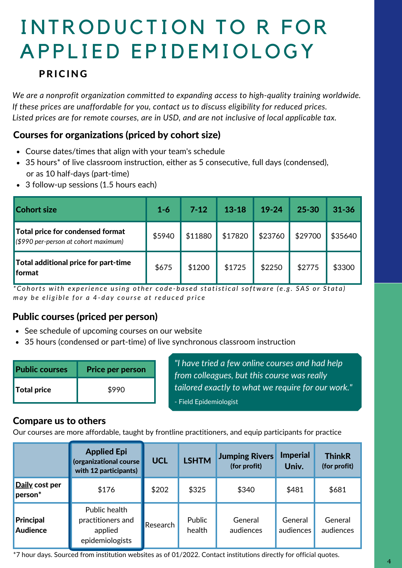# INTRODUCTION TO R FOR A P P L I ED E P I D E M I O L O G Y

#### PRICING

*We are a nonprofit organization committed to expanding access to high-quality training worldwide. If these prices are unaffordable for you, contact us to discuss eligibility for reduced prices. Listed prices are for remote courses, are in USD, and are not inclusive of local applicable tax.*

#### Courses for organizations (priced by cohort size)

- Course dates/times that align with your team's schedule
- 35 hours<sup>\*</sup> of live classroom instruction, either as 5 consecutive, full days (condensed), or as 10 half-days (part-time)
- 3 follow-up sessions (1.5 hours each)

| <b>Cohort size</b>                                                          | $1 - 6$ | $7 - 12$ | $13 - 18$ | $19 - 24$ | 25-30   | $31 - 36$ |
|-----------------------------------------------------------------------------|---------|----------|-----------|-----------|---------|-----------|
| Total price for condensed format<br>$($ \$990 per-person at cohort maximum) | \$5940  | \$11880  | \$17820   | \$23760   | \$29700 | \$35640   |
| Total additional price for part-time<br><b>I</b> format                     | \$675   | \$1200   | \$1725    | \$2250    | \$2775  | \$3300    |

\*Cohorts with experience using other code-based statistical software (e.g. SAS or Stata) may be eligible for a 4-day course at reduced price

#### Public courses (priced per person)

- See schedule of upcoming courses on our website
- 35 hours (condensed or part-time) of live synchronous classroom instruction

| <b>Public courses</b> | <b>Price per person</b> |
|-----------------------|-------------------------|
| <b>Total price</b>    | \$990                   |

*"I have tried a few online courses and had help from colleagues, but this course was really tailored exactly to what we require for our work."* - Field Epidemiologist

#### Compare us to others

Our courses are more affordable, taught by frontline practitioners, and equip participants for practice

|                                       | <b>Applied Epi</b><br>(organizational course<br>with 12 participants) | <b>UCL</b> | <b>LSHTM</b>     | <b>Jumping Rivers</b><br>(for profit) | <b>Imperial</b><br>Univ. | <b>ThinkR</b><br>(for profit) |
|---------------------------------------|-----------------------------------------------------------------------|------------|------------------|---------------------------------------|--------------------------|-------------------------------|
| Daily cost per<br>person <sup>*</sup> | \$176                                                                 | \$202      | \$325            | \$340                                 | \$481                    | \$681                         |
| Principal<br><b>Audience</b>          | Public health<br>practitioners and<br>applied<br>epidemiologists      | Research   | Public<br>health | General<br>audiences                  | General<br>audiences     | General<br>audiences          |

\*7 hour days. Sourced from institution websites as of 01/2022. Contact institutions directly for official quotes.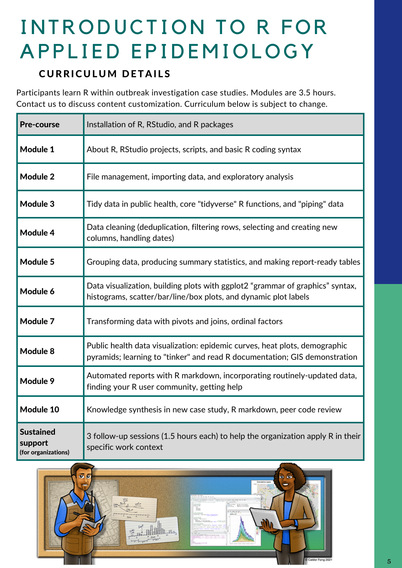# INTRODUCTION TO R FOR A P P L I ED E P I D E M I O L O G Y

#### **CURRICULUM DETAILS**

Participants learn R within outbreak investigation case studies. Modules are 3.5 hours. Contact us to discuss content customization. Curriculum below is subject to change.

| <b>Pre-course</b>                                  | Installation of R, RStudio, and R packages                                                                                                               |  |  |  |  |
|----------------------------------------------------|----------------------------------------------------------------------------------------------------------------------------------------------------------|--|--|--|--|
| Module 1                                           | About R, RStudio projects, scripts, and basic R coding syntax                                                                                            |  |  |  |  |
| <b>Module 2</b>                                    | File management, importing data, and exploratory analysis                                                                                                |  |  |  |  |
| Module 3                                           | Tidy data in public health, core "tidyverse" R functions, and "piping" data                                                                              |  |  |  |  |
| Module 4                                           | Data cleaning (deduplication, filtering rows, selecting and creating new<br>columns, handling dates)                                                     |  |  |  |  |
| Module 5                                           | Grouping data, producing summary statistics, and making report-ready tables                                                                              |  |  |  |  |
| Module 6                                           | Data visualization, building plots with ggplot2 "grammar of graphics" syntax,<br>histograms, scatter/bar/line/box plots, and dynamic plot labels         |  |  |  |  |
| Module 7                                           | Transforming data with pivots and joins, ordinal factors                                                                                                 |  |  |  |  |
| Module 8                                           | Public health data visualization: epidemic curves, heat plots, demographic<br>pyramids; learning to "tinker" and read R documentation; GIS demonstration |  |  |  |  |
| Module 9                                           | Automated reports with R markdown, incorporating routinely-updated data,<br>finding your R user community, getting help                                  |  |  |  |  |
| Module 10                                          | Knowledge synthesis in new case study, R markdown, peer code review                                                                                      |  |  |  |  |
| <b>Sustained</b><br>support<br>(for organizations) | 3 follow-up sessions (1.5 hours each) to help the organization apply R in their<br>specific work context                                                 |  |  |  |  |